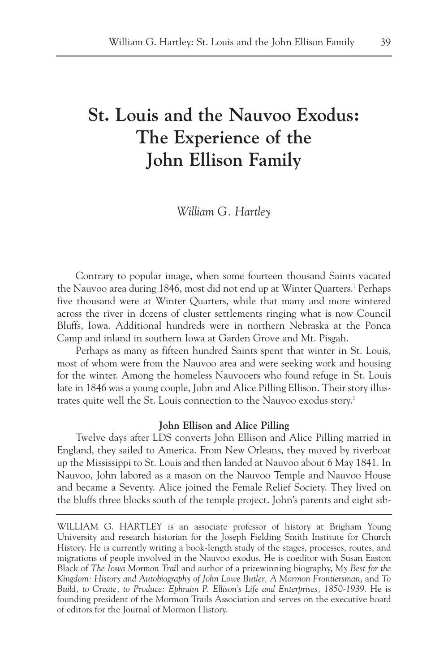# **St. Louis and the Nauvoo Exodus: The Experience of the John Ellison Family**

*William G. Hartley*

Contrary to popular image, when some fourteen thousand Saints vacated the Nauvoo area during 1846, most did not end up at Winter Quarters.<sup>1</sup> Perhaps five thousand were at Winter Quarters, while that many and more wintered across the river in dozens of cluster settlements ringing what is now Council Bluffs, Iowa. Additional hundreds were in northern Nebraska at the Ponca Camp and inland in southern Iowa at Garden Grove and Mt. Pisgah.

Perhaps as many as fifteen hundred Saints spent that winter in St. Louis, most of whom were from the Nauvoo area and were seeking work and housing for the winter. Among the homeless Nauvooers who found refuge in St. Louis late in 1846 was a young couple, John and Alice Pilling Ellison. Their story illustrates quite well the St. Louis connection to the Nauvoo exodus story.<sup>2</sup>

#### **John Ellison and Alice Pilling**

Twelve days after LDS converts John Ellison and Alice Pilling married in England, they sailed to America. From New Orleans, they moved by riverboat up the Mississippi to St. Louis and then landed at Nauvoo about 6 May 1841. In Nauvoo, John labored as a mason on the Nauvoo Temple and Nauvoo House and became a Seventy. Alice joined the Female Relief Society. They lived on the bluffs three blocks south of the temple project. John's parents and eight sib-

WILLIAM G. HARTLEY is an associate professor of history at Brigham Young University and research historian for the Joseph Fielding Smith Institute for Church History. He is currently writing a book-length study of the stages, processes, routes, and migrations of people involved in the Nauvoo exodus. He is coeditor with Susan Easton Black of *The Iowa Mormon Trai*l and author of a prizewinning biography, *My Best for the Kingdom: History and Autobiography of John Lowe Butler, A Mormon Frontiersman*, and *To Build, to Create, to Produce: Ephraim P. Ellison's Life and Enterprises, 1850-1939*. He is founding president of the Mormon Trails Association and serves on the executive board of editors for the Journal of Mormon History.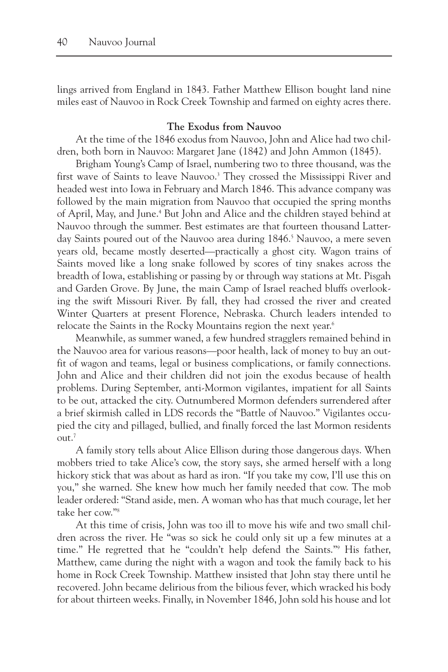lings arrived from England in 1843. Father Matthew Ellison bought land nine miles east of Nauvoo in Rock Creek Township and farmed on eighty acres there.

#### **The Exodus from Nauvoo**

At the time of the 1846 exodus from Nauvoo, John and Alice had two children, both born in Nauvoo: Margaret Jane (1842) and John Ammon (1845).

Brigham Young's Camp of Israel, numbering two to three thousand, was the first wave of Saints to leave Nauvoo.3 They crossed the Mississippi River and headed west into Iowa in February and March 1846. This advance company was followed by the main migration from Nauvoo that occupied the spring months of April, May, and June.4 But John and Alice and the children stayed behind at Nauvoo through the summer. Best estimates are that fourteen thousand Latterday Saints poured out of the Nauvoo area during 1846.<sup>5</sup> Nauvoo, a mere seven years old, became mostly deserted—practically a ghost city. Wagon trains of Saints moved like a long snake followed by scores of tiny snakes across the breadth of Iowa, establishing or passing by or through way stations at Mt. Pisgah and Garden Grove. By June, the main Camp of Israel reached bluffs overlooking the swift Missouri River. By fall, they had crossed the river and created Winter Quarters at present Florence, Nebraska. Church leaders intended to relocate the Saints in the Rocky Mountains region the next year.<sup>6</sup>

Meanwhile, as summer waned, a few hundred stragglers remained behind in the Nauvoo area for various reasons—poor health, lack of money to buy an outfit of wagon and teams, legal or business complications, or family connections. John and Alice and their children did not join the exodus because of health problems. During September, anti-Mormon vigilantes, impatient for all Saints to be out, attacked the city. Outnumbered Mormon defenders surrendered after a brief skirmish called in LDS records the "Battle of Nauvoo." Vigilantes occupied the city and pillaged, bullied, and finally forced the last Mormon residents  $out.<sup>7</sup>$ 

A family story tells about Alice Ellison during those dangerous days. When mobbers tried to take Alice's cow, the story says, she armed herself with a long hickory stick that was about as hard as iron. "If you take my cow, I'll use this on you," she warned. She knew how much her family needed that cow. The mob leader ordered: "Stand aside, men. A woman who has that much courage, let her take her cow."8

At this time of crisis, John was too ill to move his wife and two small children across the river. He "was so sick he could only sit up a few minutes at a time." He regretted that he "couldn't help defend the Saints."9 His father, Matthew, came during the night with a wagon and took the family back to his home in Rock Creek Township. Matthew insisted that John stay there until he recovered. John became delirious from the bilious fever, which wracked his body for about thirteen weeks. Finally, in November 1846, John sold his house and lot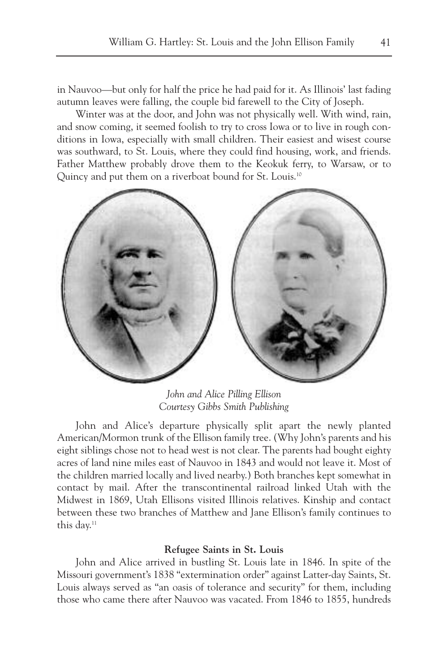in Nauvoo—but only for half the price he had paid for it. As Illinois' last fading autumn leaves were falling, the couple bid farewell to the City of Joseph.

Winter was at the door, and John was not physically well. With wind, rain, and snow coming, it seemed foolish to try to cross Iowa or to live in rough conditions in Iowa, especially with small children. Their easiest and wisest course was southward, to St. Louis, where they could find housing, work, and friends. Father Matthew probably drove them to the Keokuk ferry, to Warsaw, or to Quincy and put them on a riverboat bound for St. Louis.<sup>10</sup>



*John and Alice Pilling Ellison Courtesy Gibbs Smith Publishing*

John and Alice's departure physically split apart the newly planted American/Mormon trunk of the Ellison family tree. (Why John's parents and his eight siblings chose not to head west is not clear. The parents had bought eighty acres of land nine miles east of Nauvoo in 1843 and would not leave it. Most of the children married locally and lived nearby.) Both branches kept somewhat in contact by mail. After the transcontinental railroad linked Utah with the Midwest in 1869, Utah Ellisons visited Illinois relatives. Kinship and contact between these two branches of Matthew and Jane Ellison's family continues to this day.<sup>11</sup>

#### **Refugee Saints in St. Louis**

John and Alice arrived in bustling St. Louis late in 1846. In spite of the Missouri government's 1838 "extermination order" against Latter-day Saints, St. Louis always served as "an oasis of tolerance and security" for them, including those who came there after Nauvoo was vacated. From 1846 to 1855, hundreds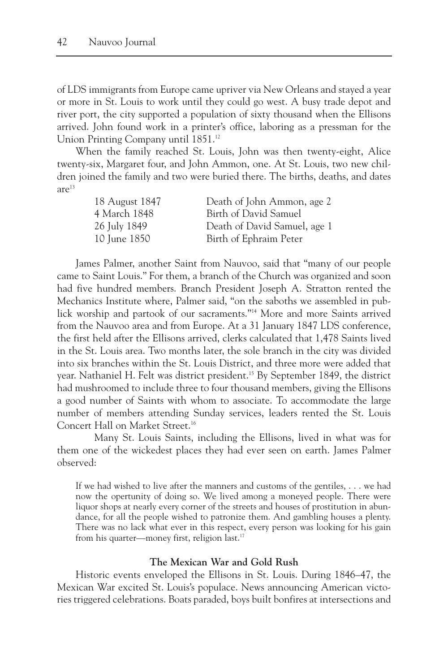of LDS immigrants from Europe came upriver via New Orleans and stayed a year or more in St. Louis to work until they could go west. A busy trade depot and river port, the city supported a population of sixty thousand when the Ellisons arrived. John found work in a printer's office, laboring as a pressman for the Union Printing Company until 1851.<sup>12</sup>

When the family reached St. Louis, John was then twenty-eight, Alice twenty-six, Margaret four, and John Ammon, one. At St. Louis, two new children joined the family and two were buried there. The births, deaths, and dates  $are^{13}$ 

| 18 August 1847 | Death of John Ammon, age 2   |
|----------------|------------------------------|
| 4 March 1848   | Birth of David Samuel        |
| 26 July 1849   | Death of David Samuel, age 1 |
| 10 June 1850   | Birth of Ephraim Peter       |

James Palmer, another Saint from Nauvoo, said that "many of our people came to Saint Louis." For them, a branch of the Church was organized and soon had five hundred members. Branch President Joseph A. Stratton rented the Mechanics Institute where, Palmer said, "on the saboths we assembled in publick worship and partook of our sacraments."14 More and more Saints arrived from the Nauvoo area and from Europe. At a 31 January 1847 LDS conference, the first held after the Ellisons arrived, clerks calculated that 1,478 Saints lived in the St. Louis area. Two months later, the sole branch in the city was divided into six branches within the St. Louis District, and three more were added that year. Nathaniel H. Felt was district president.15 By September 1849, the district had mushroomed to include three to four thousand members, giving the Ellisons a good number of Saints with whom to associate. To accommodate the large number of members attending Sunday services, leaders rented the St. Louis Concert Hall on Market Street.<sup>16</sup>

Many St. Louis Saints, including the Ellisons, lived in what was for them one of the wickedest places they had ever seen on earth. James Palmer observed:

If we had wished to live after the manners and customs of the gentiles, . . . we had now the opertunity of doing so. We lived among a moneyed people. There were liquor shops at nearly every corner of the streets and houses of prostitution in abundance, for all the people wished to patronize them. And gambling houses a plenty. There was no lack what ever in this respect, every person was looking for his gain from his quarter—money first, religion last.17

#### **The Mexican War and Gold Rush**

Historic events enveloped the Ellisons in St. Louis. During 1846–47, the Mexican War excited St. Louis's populace. News announcing American victories triggered celebrations. Boats paraded, boys built bonfires at intersections and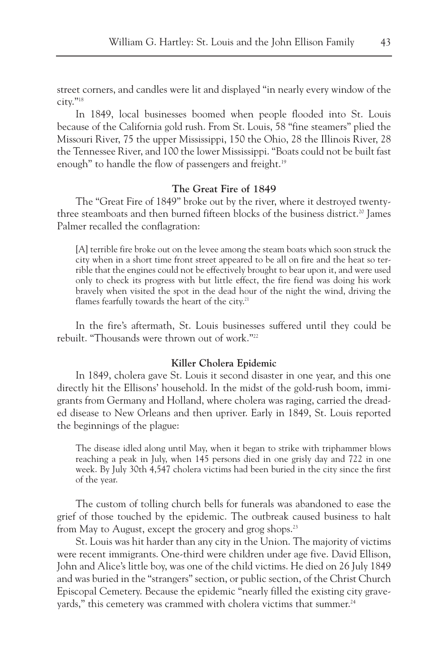street corners, and candles were lit and displayed "in nearly every window of the city."18

In 1849, local businesses boomed when people flooded into St. Louis because of the California gold rush. From St. Louis, 58 "fine steamers" plied the Missouri River, 75 the upper Mississippi, 150 the Ohio, 28 the Illinois River, 28 the Tennessee River, and 100 the lower Mississippi. "Boats could not be built fast enough" to handle the flow of passengers and freight.<sup>19</sup>

## **The Great Fire of 1849**

The "Great Fire of 1849" broke out by the river, where it destroyed twentythree steamboats and then burned fifteen blocks of the business district.<sup>20</sup> James Palmer recalled the conflagration:

[A] terrible fire broke out on the levee among the steam boats which soon struck the city when in a short time front street appeared to be all on fire and the heat so terrible that the engines could not be effectively brought to bear upon it, and were used only to check its progress with but little effect, the fire fiend was doing his work bravely when visited the spot in the dead hour of the night the wind, driving the flames fearfully towards the heart of the city.<sup>21</sup>

In the fire's aftermath, St. Louis businesses suffered until they could be rebuilt. "Thousands were thrown out of work."22

### **Killer Cholera Epidemic**

In 1849, cholera gave St. Louis it second disaster in one year, and this one directly hit the Ellisons' household. In the midst of the gold-rush boom, immigrants from Germany and Holland, where cholera was raging, carried the dreaded disease to New Orleans and then upriver. Early in 1849, St. Louis reported the beginnings of the plague:

The disease idled along until May, when it began to strike with triphammer blows reaching a peak in July, when 145 persons died in one grisly day and 722 in one week. By July 30th 4,547 cholera victims had been buried in the city since the first of the year.

The custom of tolling church bells for funerals was abandoned to ease the grief of those touched by the epidemic. The outbreak caused business to halt from May to August, except the grocery and grog shops.<sup>23</sup>

St. Louis was hit harder than any city in the Union. The majority of victims were recent immigrants. One-third were children under age five. David Ellison, John and Alice's little boy, was one of the child victims. He died on 26 July 1849 and was buried in the "strangers" section, or public section, of the Christ Church Episcopal Cemetery. Because the epidemic "nearly filled the existing city graveyards," this cemetery was crammed with cholera victims that summer.<sup>24</sup>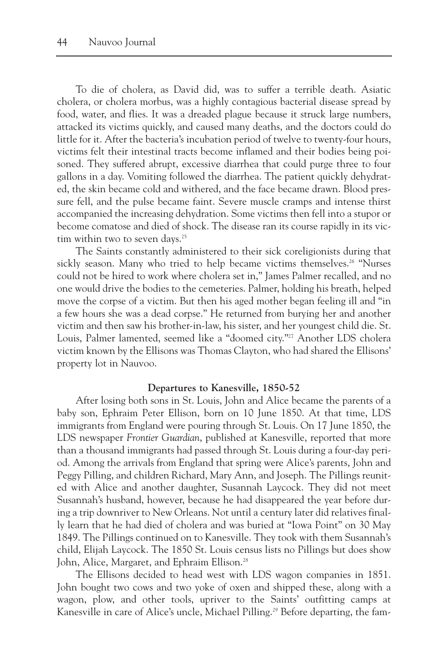To die of cholera, as David did, was to suffer a terrible death. Asiatic cholera, or cholera morbus, was a highly contagious bacterial disease spread by food, water, and flies. It was a dreaded plague because it struck large numbers, attacked its victims quickly, and caused many deaths, and the doctors could do little for it. After the bacteria's incubation period of twelve to twenty-four hours, victims felt their intestinal tracts become inflamed and their bodies being poisoned. They suffered abrupt, excessive diarrhea that could purge three to four gallons in a day. Vomiting followed the diarrhea. The patient quickly dehydrated, the skin became cold and withered, and the face became drawn. Blood pressure fell, and the pulse became faint. Severe muscle cramps and intense thirst accompanied the increasing dehydration. Some victims then fell into a stupor or become comatose and died of shock. The disease ran its course rapidly in its victim within two to seven days.<sup>25</sup>

The Saints constantly administered to their sick coreligionists during that sickly season. Many who tried to help became victims themselves.<sup>26</sup> "Nurses" could not be hired to work where cholera set in," James Palmer recalled, and no one would drive the bodies to the cemeteries. Palmer, holding his breath, helped move the corpse of a victim. But then his aged mother began feeling ill and "in a few hours she was a dead corpse." He returned from burying her and another victim and then saw his brother-in-law, his sister, and her youngest child die. St. Louis, Palmer lamented, seemed like a "doomed city."<sup>27</sup> Another LDS cholera victim known by the Ellisons was Thomas Clayton, who had shared the Ellisons' property lot in Nauvoo.

#### **Departures to Kanesville, 1850-52**

After losing both sons in St. Louis, John and Alice became the parents of a baby son, Ephraim Peter Ellison, born on 10 June 1850. At that time, LDS immigrants from England were pouring through St. Louis. On 17 June 1850, the LDS newspaper *Frontier Guardian*, published at Kanesville, reported that more than a thousand immigrants had passed through St. Louis during a four-day period. Among the arrivals from England that spring were Alice's parents, John and Peggy Pilling, and children Richard, Mary Ann, and Joseph. The Pillings reunited with Alice and another daughter, Susannah Laycock. They did not meet Susannah's husband, however, because he had disappeared the year before during a trip downriver to New Orleans. Not until a century later did relatives finally learn that he had died of cholera and was buried at "Iowa Point" on 30 May 1849. The Pillings continued on to Kanesville. They took with them Susannah's child, Elijah Laycock. The 1850 St. Louis census lists no Pillings but does show John, Alice, Margaret, and Ephraim Ellison.<sup>28</sup>

The Ellisons decided to head west with LDS wagon companies in 1851. John bought two cows and two yoke of oxen and shipped these, along with a wagon, plow, and other tools, upriver to the Saints' outfitting camps at Kanesville in care of Alice's uncle, Michael Pilling.<sup>29</sup> Before departing, the fam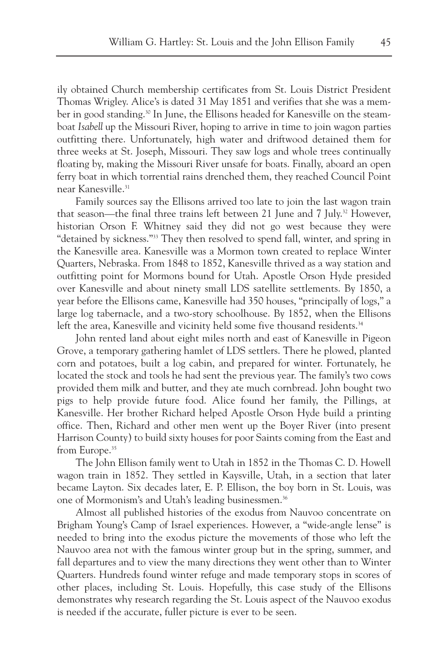ily obtained Church membership certificates from St. Louis District President Thomas Wrigley. Alice's is dated 31 May 1851 and verifies that she was a member in good standing.<sup>30</sup> In June, the Ellisons headed for Kanesville on the steamboat *Isabell* up the Missouri River, hoping to arrive in time to join wagon parties outfitting there. Unfortunately, high water and driftwood detained them for three weeks at St. Joseph, Missouri. They saw logs and whole trees continually floating by, making the Missouri River unsafe for boats. Finally, aboard an open ferry boat in which torrential rains drenched them, they reached Council Point near Kanesville.<sup>31</sup>

Family sources say the Ellisons arrived too late to join the last wagon train that season—the final three trains left between 21 June and 7 July.<sup>32</sup> However, historian Orson F. Whitney said they did not go west because they were "detained by sickness."33 They then resolved to spend fall, winter, and spring in the Kanesville area. Kanesville was a Mormon town created to replace Winter Quarters, Nebraska. From 1848 to 1852, Kanesville thrived as a way station and outfitting point for Mormons bound for Utah. Apostle Orson Hyde presided over Kanesville and about ninety small LDS satellite settlements. By 1850, a year before the Ellisons came, Kanesville had 350 houses, "principally of logs," a large log tabernacle, and a two-story schoolhouse. By 1852, when the Ellisons left the area, Kanesville and vicinity held some five thousand residents.<sup>34</sup>

John rented land about eight miles north and east of Kanesville in Pigeon Grove, a temporary gathering hamlet of LDS settlers. There he plowed, planted corn and potatoes, built a log cabin, and prepared for winter. Fortunately, he located the stock and tools he had sent the previous year. The family's two cows provided them milk and butter, and they ate much cornbread. John bought two pigs to help provide future food. Alice found her family, the Pillings, at Kanesville. Her brother Richard helped Apostle Orson Hyde build a printing office. Then, Richard and other men went up the Boyer River (into present Harrison County) to build sixty houses for poor Saints coming from the East and from Europe.<sup>35</sup>

The John Ellison family went to Utah in 1852 in the Thomas C. D. Howell wagon train in 1852. They settled in Kaysville, Utah, in a section that later became Layton. Six decades later, E. P. Ellison, the boy born in St. Louis, was one of Mormonism's and Utah's leading businessmen.<sup>36</sup>

Almost all published histories of the exodus from Nauvoo concentrate on Brigham Young's Camp of Israel experiences. However, a "wide-angle lense" is needed to bring into the exodus picture the movements of those who left the Nauvoo area not with the famous winter group but in the spring, summer, and fall departures and to view the many directions they went other than to Winter Quarters. Hundreds found winter refuge and made temporary stops in scores of other places, including St. Louis. Hopefully, this case study of the Ellisons demonstrates why research regarding the St. Louis aspect of the Nauvoo exodus is needed if the accurate, fuller picture is ever to be seen.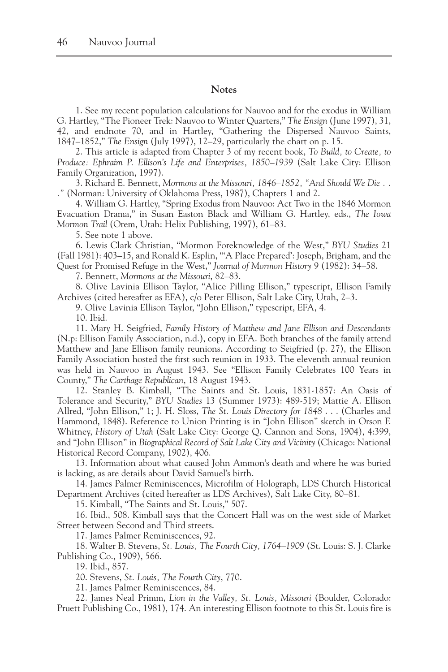#### **Notes**

1. See my recent population calculations for Nauvoo and for the exodus in William G. Hartley, "The Pioneer Trek: Nauvoo to Winter Quarters," *The Ensign* (June 1997), 31, 42, and endnote 70, and in Hartley, "Gathering the Dispersed Nauvoo Saints, 1847–1852," *The Ensign* (July 1997), 12–29, particularly the chart on p. 15.

2. This article is adapted from Chapter 3 of my recent book, *To Build, to Create, to Produce: Ephraim P. Ellison's Life and Enterprises, 1850–1939* (Salt Lake City: Ellison Family Organization, 1997).

3. Richard E. Bennett, *Mormons at the Missouri, 1846–1852, "And Should We Die . . ."* (Norman: University of Oklahoma Press, 1987), Chapters 1 and 2.

4. William G. Hartley, "Spring Exodus from Nauvoo: Act Two in the 1846 Mormon Evacuation Drama," in Susan Easton Black and William G. Hartley, eds., *The Iowa Mormon Trail* (Orem, Utah: Helix Publishing, 1997), 61–83.

5. See note 1 above.

6. Lewis Clark Christian, "Mormon Foreknowledge of the West," *BYU Studies* 21 (Fall 1981): 403–15, and Ronald K. Esplin, "'A Place Prepared': Joseph, Brigham, and the Quest for Promised Refuge in the West," *Journal of Mormon History* 9 (1982): 34–58.

7. Bennett, *Mormons at the Missouri*, 82–83.

8. Olive Lavinia Ellison Taylor, "Alice Pilling Ellison," typescript, Ellison Family Archives (cited hereafter as EFA), c/o Peter Ellison, Salt Lake City, Utah, 2–3.

9. Olive Lavinia Ellison Taylor, "John Ellison," typescript, EFA, 4.

10. Ibid.

11. Mary H. Seigfried, *Family History of Matthew and Jane Ellison and Descendants* (N.p: Ellison Family Association, n.d.), copy in EFA. Both branches of the family attend Matthew and Jane Ellison family reunions. According to Seigfried (p. 27), the Ellison Family Association hosted the first such reunion in 1933. The eleventh annual reunion was held in Nauvoo in August 1943. See "Ellison Family Celebrates 100 Years in County," *The Carthage Republican*, 18 August 1943.

12. Stanley B. Kimball, "The Saints and St. Louis, 1831-1857: An Oasis of Tolerance and Security," *BYU Studies* 13 (Summer 1973): 489-519; Mattie A. Ellison Allred, "John Ellison," 1; J. H. Sloss, *The St. Louis Directory for 1848* . . . (Charles and Hammond, 1848). Reference to Union Printing is in "John Ellison" sketch in Orson F. Whitney, *History of Utah* (Salt Lake City: George Q. Cannon and Sons, 1904), 4:399, and "John Ellison" in *Biographical Record of Salt Lake City and Vicinity* (Chicago: National Historical Record Company, 1902), 406.

13. Information about what caused John Ammon's death and where he was buried is lacking, as are details about David Samuel's birth.

14. James Palmer Reminiscences, Microfilm of Holograph, LDS Church Historical Department Archives (cited hereafter as LDS Archives), Salt Lake City, 80–81.

15. Kimball, "The Saints and St. Louis," 507.

16. Ibid., 508. Kimball says that the Concert Hall was on the west side of Market Street between Second and Third streets.

17. James Palmer Reminiscences, 92.

18. Walter B. Stevens, *St. Louis, The Fourth City, 1764–1909* (St. Louis: S. J. Clarke Publishing Co., 1909), 566.

19. Ibid., 857.

20. Stevens, *St. Louis, The Fourth City*, 770.

21. James Palmer Reminiscences, 84.

22. James Neal Primm, *Lion in the Valley, St. Louis, Missouri* (Boulder, Colorado: Pruett Publishing Co., 1981), 174. An interesting Ellison footnote to this St. Louis fire is